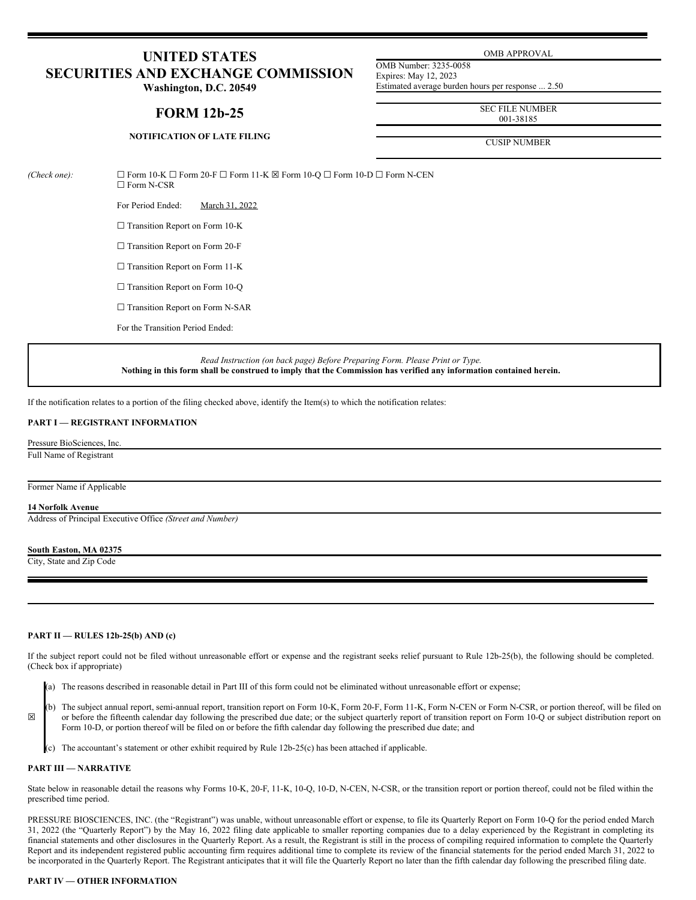# **UNITED STATES SECURITIES AND EXCHANGE COMMISSION**

**Washington, D.C. 20549**

# **FORM 12b-25**

OMB APPROVAL

OMB Number: 3235-0058 Expires: May 12, 2023 Estimated average burden hours per response ... 2.50

> SEC FILE NUMBER 001-38185

CUSIP NUMBER

# **NOTIFICATION OF LATE FILING**

*(Check one):* ☐ Form 10-K ☐ Form 20-F ☐ Form 11-K ☒ Form 10-Q ☐ Form 10-D ☐ Form N-CEN ☐ Form N-CSR

For Period Ended: March 31, 2022

 $\Box$  Transition Report on Form 10-K

□ Transition Report on Form 20-F

□ Transition Report on Form 11-K

□ Transition Report on Form 10-Q

□ Transition Report on Form N-SAR

For the Transition Period Ended:

*Read Instruction (on back page) Before Preparing Form. Please Print or Type.* Nothing in this form shall be construed to imply that the Commission has verified any information contained herein.

If the notification relates to a portion of the filing checked above, identify the Item(s) to which the notification relates:

# **PART I — REGISTRANT INFORMATION**

Pressure BioSciences, Inc.

Full Name of Registrant

#### Former Name if Applicable

#### **14 Norfolk Avenue**

Address of Principal Executive Office *(Street and Number)*

#### **South Easton, MA 02375**

City, State and Zip Code

# **PART II — RULES 12b-25(b) AND (c)**

If the subject report could not be filed without unreasonable effort or expense and the registrant seeks relief pursuant to Rule 12b-25(b), the following should be completed. (Check box if appropriate)

(a) The reasons described in reasonable detail in Part III of this form could not be eliminated without unreasonable effort or expense;

(b) The subject annual report, semi-annual report, transition report on Form 10-K, Form 20-F, Form 11-K, Form N-CEN or Form N-CSR, or portion thereof, will be filed on or before the fifteenth calendar day following the prescribed due date; or the subject quarterly report of transition report on Form 10-Q or subject distribution report on Form 10-D, or portion thereof will be filed on or before the fifth calendar day following the prescribed due date; and

(c) The accountant's statement or other exhibit required by Rule 12b-25(c) has been attached if applicable.

#### **PART III — NARRATIVE**

☒

State below in reasonable detail the reasons why Forms 10-K, 20-F, 11-K, 10-Q, 10-D, N-CEN, N-CSR, or the transition report or portion thereof, could not be filed within the prescribed time period.

PRESSURE BIOSCIENCES, INC. (the "Registrant") was unable, without unreasonable effort or expense, to file its Quarterly Report on Form 10-Q for the period ended March 31, 2022 (the "Quarterly Report") by the May 16, 2022 filing date applicable to smaller reporting companies due to a delay experienced by the Registrant in completing its financial statements and other disclosures in the Quarterly Report. As a result, the Registrant is still in the process of compiling required information to complete the Quarterly Report and its independent registered public accounting firm requires additional time to complete its review of the financial statements for the period ended March 31, 2022 to be incorporated in the Quarterly Report. The Registrant anticipates that it will file the Quarterly Report no later than the fifth calendar day following the prescribed filing date.

### **PART IV — OTHER INFORMATION**